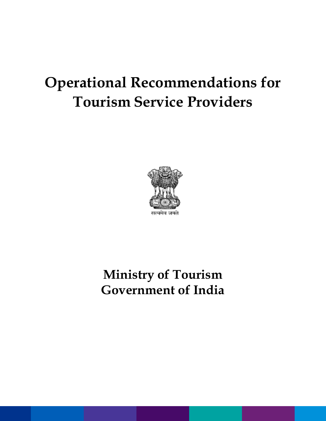# **Operational Recommendations for Tourism Service Providers**



### **Ministry of Tourism Government of India**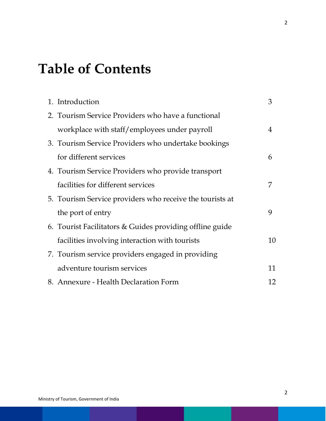## **Table of Contents**

| 1. Introduction                                          | 3  |
|----------------------------------------------------------|----|
| 2. Tourism Service Providers who have a functional       |    |
| workplace with staff/employees under payroll             | 4  |
| 3. Tourism Service Providers who undertake bookings      |    |
| for different services                                   | 6  |
| 4. Tourism Service Providers who provide transport       |    |
| facilities for different services                        | 7  |
| 5. Tourism Service providers who receive the tourists at |    |
| the port of entry                                        | 9  |
| 6. Tourist Facilitators & Guides providing offline guide |    |
| facilities involving interaction with tourists           | 10 |
| 7. Tourism service providers engaged in providing        |    |
| adventure tourism services                               | 11 |
| 8. Annexure - Health Declaration Form                    | 12 |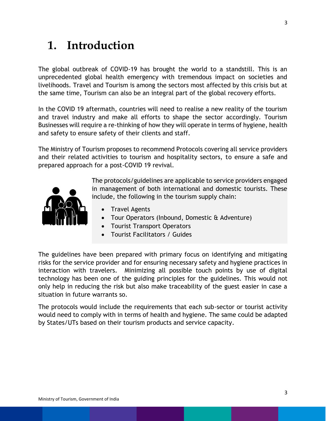#### **1. Introduction**

The global outbreak of COVID-19 has brought the world to a standstill. This is an unprecedented global health emergency with tremendous impact on societies and livelihoods. Travel and Tourism is among the sectors most affected by this crisis but at the same time, Tourism can also be an integral part of the global recovery efforts.

In the COVID 19 aftermath, countries will need to realise a new reality of the tourism and travel industry and make all efforts to shape the sector accordingly. Tourism Businesses will require a re-thinking of how they will operate in terms of hygiene, health and safety to ensure safety of their clients and staff.

The Ministry of Tourism proposes to recommend Protocols covering all service providers and their related activities to tourism and hospitality sectors, to ensure a safe and prepared approach for a post-COVID 19 revival.



The protocols/guidelines are applicable to service providers engaged in management of both international and domestic tourists. These include, the following in the tourism supply chain:

- Travel Agents
- Tour Operators (Inbound, Domestic & Adventure)
- Tourist Transport Operators
- Tourist Facilitators / Guides

The guidelines have been prepared with primary focus on identifying and mitigating risks for the service provider and for ensuring necessary safety and hygiene practices in interaction with travelers. Minimizing all possible touch points by use of digital technology has been one of the guiding principles for the guidelines. This would not only help in reducing the risk but also make traceability of the guest easier in case a situation in future warrants so.

The protocols would include the requirements that each sub-sector or tourist activity would need to comply with in terms of health and hygiene. The same could be adapted by States/UTs based on their tourism products and service capacity.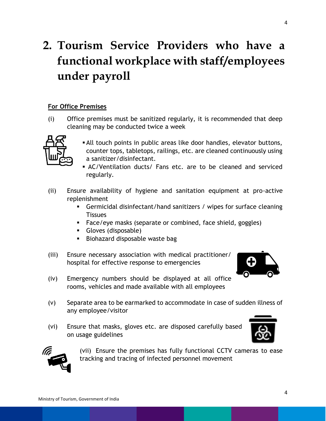#### **2. Tourism Service Providers who have a functional workplace with staff/employees under payroll**

#### **For Office Premises**

(i) Office premises must be sanitized regularly, it is recommended that deep cleaning may be conducted twice a week



- All touch points in public areas like door handles, elevator buttons, counter tops, tabletops, railings, etc. are cleaned continuously using a sanitizer/disinfectant.
- AC/Ventilation ducts/ Fans etc. are to be cleaned and serviced regularly.
- (ii) Ensure availability of hygiene and sanitation equipment at pro-active replenishment
	- Germicidal disinfectant/hand sanitizers / wipes for surface cleaning **Tissues**
	- Face/eye masks (separate or combined, face shield, goggles)
	- Gloves (disposable)
	- **Biohazard disposable waste bage**
- (iii) Ensure necessary association with medical practitioner/ hospital for effective response to emergencies



- (iv) Emergency numbers should be displayed at all office rooms, vehicles and made available with all employees
- (v) Separate area to be earmarked to accommodate in case of sudden illness of any employee/visitor
- (vi) Ensure that masks, gloves etc. are disposed carefully based on usage guidelines





(vii) Ensure the premises has fully functional CCTV cameras to ease tracking and tracing of infected personnel movement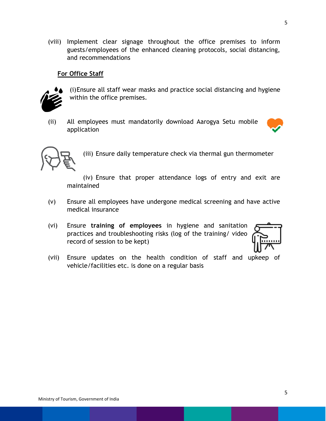(viii) Implement clear signage throughout the office premises to inform guests/employees of the enhanced cleaning protocols, social distancing, and recommendations

#### **For Office Staff**



(i)Ensure all staff wear masks and practice social distancing and hygiene within the office premises.

(ii) All employees must mandatorily download Aarogya Setu mobile application





(iii) Ensure daily temperature check via thermal gun thermometer

(iv) Ensure that proper attendance logs of entry and exit are maintained

- (v) Ensure all employees have undergone medical screening and have active medical insurance
- (vi) Ensure **training of employees** in hygiene and sanitation practices and troubleshooting risks (log of the training/ video record of session to be kept)



(vii) Ensure updates on the health condition of staff and upkeep of vehicle/facilities etc. is done on a regular basis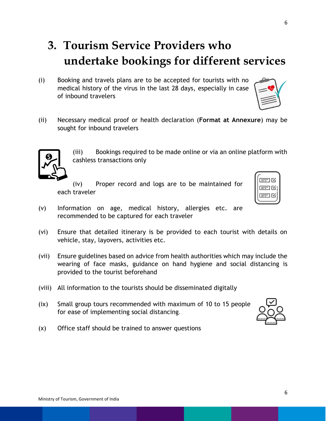### **3. Tourism Service Providers who undertake bookings for different services**

- (i) Booking and travels plans are to be accepted for tourists with no medical history of the virus in the last 28 days, especially in case of inbound travelers
- (ii) Necessary medical proof or health declaration (**Format at Annexure**) may be sought for inbound travelers

(iii) Bookings required to be made online or via an online platform with cashless transactions only

(iv) Proper record and logs are to be maintained for each traveler

- (v) Information on age, medical history, allergies etc. are recommended to be captured for each traveler
- (vi) Ensure that detailed itinerary is be provided to each tourist with details on vehicle, stay, layovers, activities etc.
- (vii) Ensure guidelines based on advice from health authorities which may include the wearing of face masks, guidance on hand hygiene and social distancing is provided to the tourist beforehand
- (viii) All information to the tourists should be disseminated digitally
- (ix) Small group tours recommended with maximum of 10 to 15 people for ease of implementing social distancing.
- (x) Office staff should be trained to answer questions





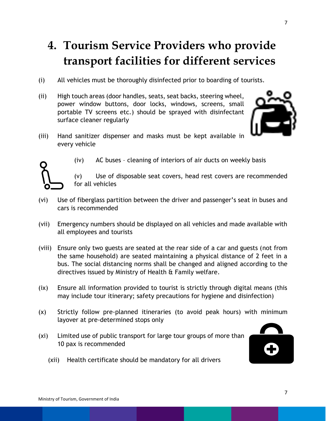#### **4. Tourism Service Providers who provide transport facilities for different services**

- (i) All vehicles must be thoroughly disinfected prior to boarding of tourists.
- (ii) High touch areas (door handles, seats, seat backs, steering wheel, power window buttons, door locks, windows, screens, small portable TV screens etc.) should be sprayed with disinfectant surface cleaner regularly



(iii) Hand sanitizer dispenser and masks must be kept available in every vehicle



- (iv) AC buses cleaning of interiors of air ducts on weekly basis
- (v) Use of disposable seat covers, head rest covers are recommended for all vehicles
- (vi) Use of fiberglass partition between the driver and passenger's seat in buses and cars is recommended
- (vii) Emergency numbers should be displayed on all vehicles and made available with all employees and tourists
- (viii) Ensure only two guests are seated at the rear side of a car and guests (not from the same household) are seated maintaining a physical distance of 2 feet in a bus. The social distancing norms shall be changed and aligned according to the directives issued by Ministry of Health & Family welfare.
- (ix) Ensure all information provided to tourist is strictly through digital means (this may include tour itinerary; safety precautions for hygiene and disinfection)
- (x) Strictly follow pre-planned itineraries (to avoid peak hours) with minimum layover at pre-determined stops only
- (xi) Limited use of public transport for large tour groups of more than 10 pax is recommended

(xii) Health certificate should be mandatory for all drivers



7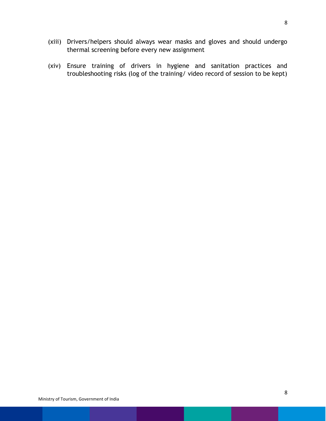- (xiii) Drivers/helpers should always wear masks and gloves and should undergo thermal screening before every new assignment
- (xiv) Ensure training of drivers in hygiene and sanitation practices and troubleshooting risks (log of the training/ video record of session to be kept)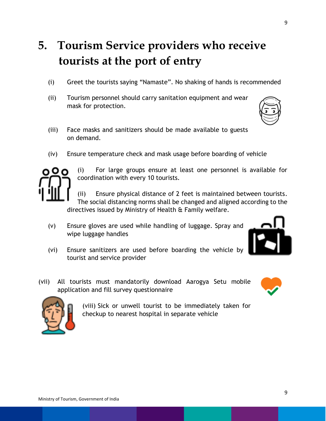#### **5. Tourism Service providers who receive tourists at the port of entry**

- (i) Greet the tourists saying "Namaste". No shaking of hands is recommended
- (ii) Tourism personnel should carry sanitation equipment and wear mask for protection.
- (iii) Face masks and sanitizers should be made available to guests on demand.
- (iv) Ensure temperature check and mask usage before boarding of vehicle



(i) For large groups ensure at least one personnel is available for coordination with every 10 tourists.

(ii) Ensure physical distance of 2 feet is maintained between tourists. The social distancing norms shall be changed and aligned according to the directives issued by Ministry of Health & Family welfare.

- (v) Ensure gloves are used while handling of luggage. Spray and wipe luggage handles
- (vi) Ensure sanitizers are used before boarding the vehicle by tourist and service provider
- (vii) All tourists must mandatorily download Aarogya Setu mobile application and fill survey questionnaire



(viii) Sick or unwell tourist to be immediately taken for checkup to nearest hospital in separate vehicle



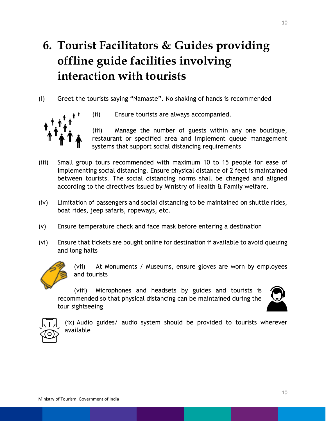#### **6. Tourist Facilitators & Guides providing offline guide facilities involving interaction with tourists**

(i) Greet the tourists saying "Namaste". No shaking of hands is recommended



(ii) Ensure tourists are always accompanied.

(iii) Manage the number of guests within any one boutique, restaurant or specified area and implement queue management systems that support social distancing requirements

- (iii) Small group tours recommended with maximum 10 to 15 people for ease of implementing social distancing. Ensure physical distance of 2 feet is maintained between tourists. The social distancing norms shall be changed and aligned according to the directives issued by Ministry of Health & Family welfare.
- (iv) Limitation of passengers and social distancing to be maintained on shuttle rides, boat rides, jeep safaris, ropeways, etc.
- (v) Ensure temperature check and face mask before entering a destination
- (vi) Ensure that tickets are bought online for destination if available to avoid queuing and long halts



(vii) At Monuments / Museums, ensure gloves are worn by employees and tourists

(viii) Microphones and headsets by guides and tourists is recommended so that physical distancing can be maintained during the tour sightseeing





(ix) Audio guides/ audio system should be provided to tourists wherever available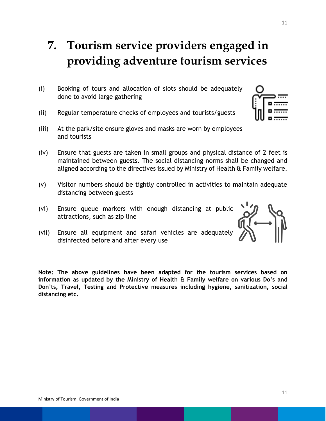### **7. Tourism service providers engaged in providing adventure tourism services**

- (i) Booking of tours and allocation of slots should be adequately done to avoid large gathering
- (ii) Regular temperature checks of employees and tourists/guests
- (iii) At the park/site ensure gloves and masks are worn by employees and tourists
- (iv) Ensure that guests are taken in small groups and physical distance of 2 feet is maintained between guests. The social distancing norms shall be changed and aligned according to the directives issued by Ministry of Health & Family welfare.
- (v) Visitor numbers should be tightly controlled in activities to maintain adequate distancing between guests
- (vi) Ensure queue markers with enough distancing at public attractions, such as zip line
- (vii) Ensure all equipment and safari vehicles are adequately disinfected before and after every use

**Note: The above guidelines have been adapted for the tourism services based on information as updated by the Ministry of Health & Family welfare on various Do's and Don'ts, Travel, Testing and Protective measures including hygiene, sanitization, social distancing etc.** 

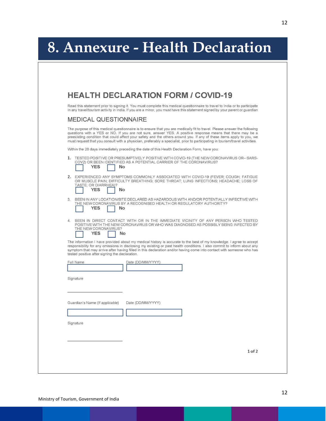# **8. Annexure - Health Declaration**

|                                                 | <b>HEALTH DECLARATION FORM / COVID-19</b>                                                                                                                                                                                                                                                                                                                                                                                                                                                        |
|-------------------------------------------------|--------------------------------------------------------------------------------------------------------------------------------------------------------------------------------------------------------------------------------------------------------------------------------------------------------------------------------------------------------------------------------------------------------------------------------------------------------------------------------------------------|
|                                                 | Read this statement prior to signing it. You must complete this medical questionnaire to travel to India or to participate<br>in any travel/tourism activity in India. If you are a minor, you must have this statement signed by your parent or guardian                                                                                                                                                                                                                                        |
| <b>MEDICAL QUESTIONNAIRE</b>                    |                                                                                                                                                                                                                                                                                                                                                                                                                                                                                                  |
|                                                 | The purpose of this medical questionnaire is to ensure that you are medically fit to travel. Please answer the following<br>questions with a YES or NO. If you are not sure, answer YES. A positive response means that there may be a<br>preexisting condition that could affect your safety and the others around you. If any of these items apply to you, we<br>must request that you consult with a physician, preferably a specialist, prior to participating in tourism/travel activities. |
|                                                 | Within the 28 days immediately preceding the date of this Health Declaration Form, have you:                                                                                                                                                                                                                                                                                                                                                                                                     |
| <b>YES</b><br>No.                               | 1. TESTED POSITIVE OR PRESUMPTIVELY POSITIVE WITH COVID-19 (THE NEW CORONAVIRUS OR-SARS-<br>COV2) OR BEEN IDENTIFIED AS A POTENTIAL CARRIER OF THE CORONAVIRUS?                                                                                                                                                                                                                                                                                                                                  |
| TASTE: OR DIARRHEA)?<br><b>YES</b><br>No        | 2. EXPERIENCED ANY SYMPTOMS COMMONLY ASSOCIATED WITH COVID-19 (FEVER; COUGH; FATIGUE<br>OR MUSCLE PAIN: DIFFICULTY BREATHING: SORE THROAT: LUNG INFECTIONS: HEADACHE: LOSS OF                                                                                                                                                                                                                                                                                                                    |
| <b>YES</b><br>No                                | 3. BEEN IN ANY LOCATION/SITE DECLARED AS HAZARDOUS WITH AND/OR POTENTIALLY INFECTIVE WITH<br>THE NEW CORONAVIRUS BY A RECOGNISED HEALTH OR REGULATORY AUTHORITY?                                                                                                                                                                                                                                                                                                                                 |
| THE NEW CORONAVIRUS?<br><b>YES</b><br><b>No</b> | 4. BEEN IN DIRECT CONTACT WITH OR IN THE IMMEDIATE VICINITY OF ANY PERSON WHO TESTED<br>POSITIVE WITH THE NEW CORONAVIRUS OR WHO WAS DIAGNOSED AS POSSIBLY BEING INFECTED BY                                                                                                                                                                                                                                                                                                                     |
| tested positive after signing the declaration.  | The information I have provided about my medical history is accurate to the best of my knowledge. I agree to accept<br>responsibility for any omissions in disclosing my existing or past health conditions. I also commit to inform about any<br>symptom that may arrive after having filled in this declaration and/or having come into contact with someone who has                                                                                                                           |
| Full Name                                       | Date (DD/MM/YYYY)                                                                                                                                                                                                                                                                                                                                                                                                                                                                                |
| Signature                                       |                                                                                                                                                                                                                                                                                                                                                                                                                                                                                                  |
|                                                 |                                                                                                                                                                                                                                                                                                                                                                                                                                                                                                  |
|                                                 |                                                                                                                                                                                                                                                                                                                                                                                                                                                                                                  |
| Guardian's Name (If applicable)                 | Date (DD/MM/YYYY)                                                                                                                                                                                                                                                                                                                                                                                                                                                                                |
|                                                 |                                                                                                                                                                                                                                                                                                                                                                                                                                                                                                  |
| Signature                                       |                                                                                                                                                                                                                                                                                                                                                                                                                                                                                                  |
|                                                 |                                                                                                                                                                                                                                                                                                                                                                                                                                                                                                  |
|                                                 |                                                                                                                                                                                                                                                                                                                                                                                                                                                                                                  |
|                                                 | 1 of 2                                                                                                                                                                                                                                                                                                                                                                                                                                                                                           |